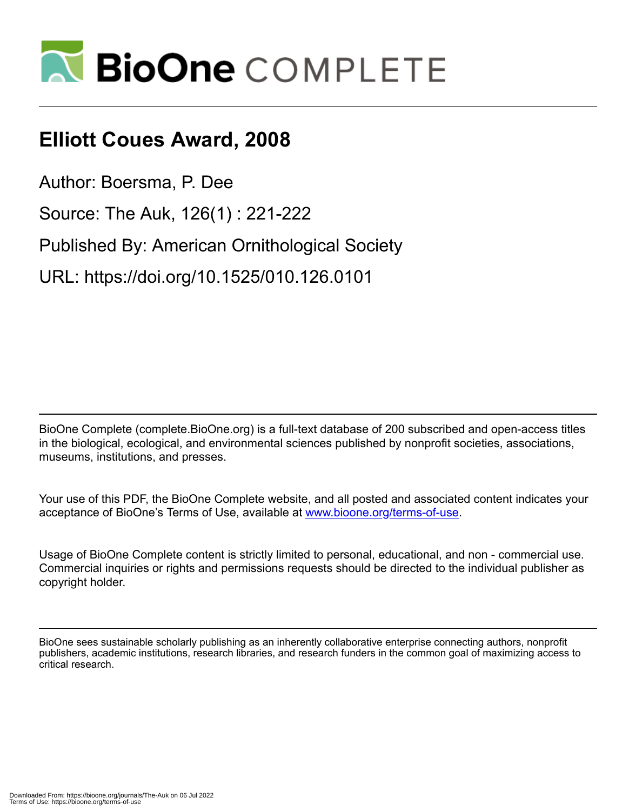

## **Elliott Coues Award, 2008**

Author: Boersma, P. Dee

Source: The Auk, 126(1) : 221-222

Published By: American Ornithological Society

URL: https://doi.org/10.1525/010.126.0101

BioOne Complete (complete.BioOne.org) is a full-text database of 200 subscribed and open-access titles in the biological, ecological, and environmental sciences published by nonprofit societies, associations, museums, institutions, and presses.

Your use of this PDF, the BioOne Complete website, and all posted and associated content indicates your acceptance of BioOne's Terms of Use, available at www.bioone.org/terms-of-use.

Usage of BioOne Complete content is strictly limited to personal, educational, and non - commercial use. Commercial inquiries or rights and permissions requests should be directed to the individual publisher as copyright holder.

BioOne sees sustainable scholarly publishing as an inherently collaborative enterprise connecting authors, nonprofit publishers, academic institutions, research libraries, and research funders in the common goal of maximizing access to critical research.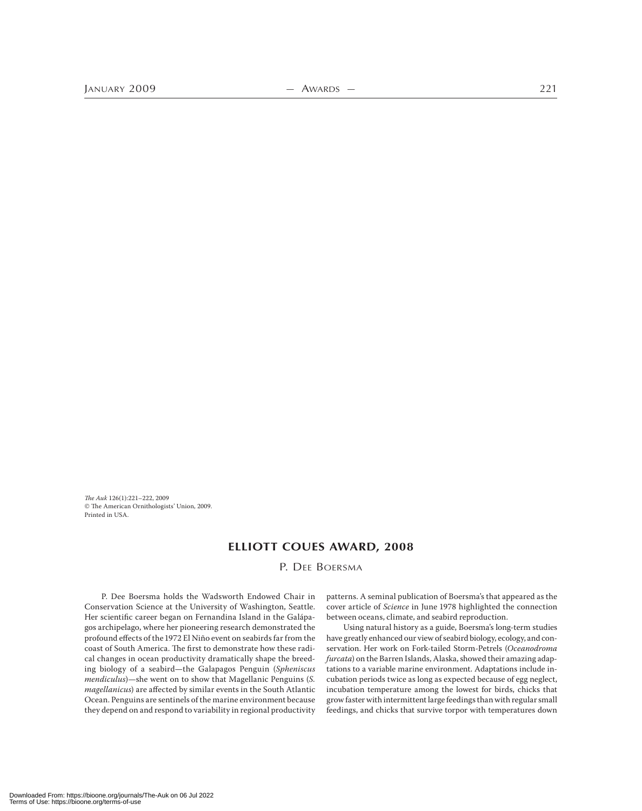The Auk 126(1):221–222, 2009  $©$  The American Ornithologists' Union, 2009. Printed in USA.

## **ELLIOTT COUES AWARD, 2008**

P. DEE BOERSMA

P. Dee Boersma holds the Wadsworth Endowed Chair in Conservation Science at the University of Washington, Seattle. Her scientific career began on Fernandina Island in the Galápagos archipelago, where her pioneering research demonstrated the profound effects of the 1972 El Niño event on seabirds far from the coast of South America. The first to demonstrate how these radical changes in ocean productivity dramatically shape the breeding biology of a seabird—the Galapagos Penguin (Spheniscus mendiculus)—she went on to show that Magellanic Penguins (S. magellanicus) are affected by similar events in the South Atlantic Ocean. Penguins are sentinels of the marine environment because they depend on and respond to variability in regional productivity

patterns. A seminal publication of Boersma's that appeared as the cover article of Science in June 1978 highlighted the connection between oceans, climate, and seabird reproduction.

Using natural history as a guide, Boersma's long-term studies have greatly enhanced our view of seabird biology, ecology, and conservation. Her work on Fork-tailed Storm-Petrels (Oceanodroma furcata) on the Barren Islands, Alaska, showed their amazing adaptations to a variable marine environment. Adaptations include incubation periods twice as long as expected because of egg neglect, incubation temperature among the lowest for birds, chicks that grow faster with intermittent large feedings than with regular small feedings, and chicks that survive torpor with temperatures down